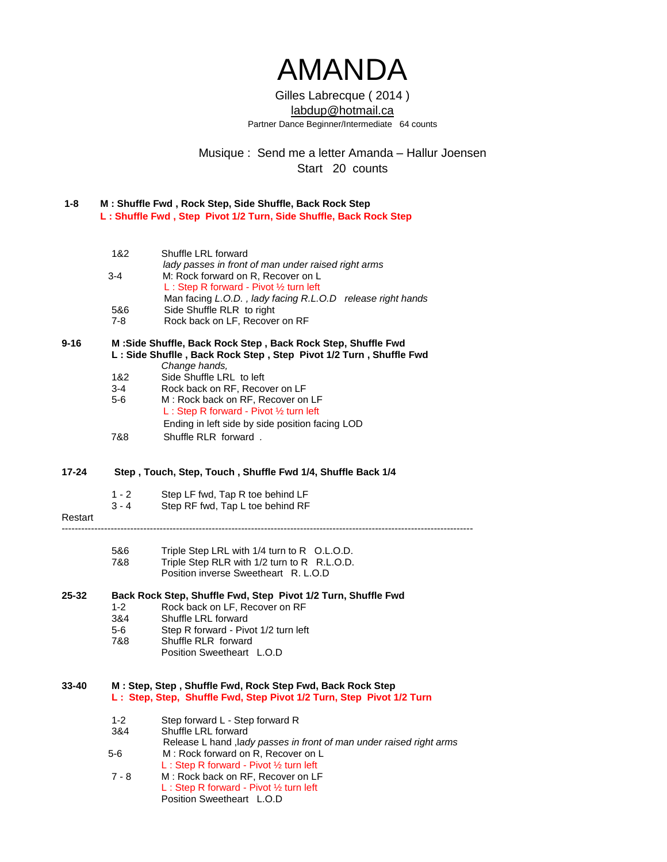# AMANDA

### Gilles Labrecque ( 2014 ) [labdup@hotmail.ca](mailto:labdup@hotmail.ca) Partner Dance Beginner/Intermediate 64 counts

Musique : Send me a letter Amanda – Hallur Joensen Start 20 counts

| 1-8 | M: Shuffle Fwd, Rock Step, Side Shuffle, Back Rock Step           |
|-----|-------------------------------------------------------------------|
|     | L: Shuffle Fwd, Step Pivot 1/2 Turn, Side Shuffle, Back Rock Step |

| 1&2     | Shuffle LRL forward                                        |
|---------|------------------------------------------------------------|
|         | lady passes in front of man under raised right arms        |
| $3 - 4$ | M: Rock forward on R, Recover on L                         |
|         | L: Step R forward - Pivot $\frac{1}{2}$ turn left          |
|         | Man facing L.O.D., lady facing R.L.O.D release right hands |
| 5&6     | Side Shuffle RLR to right                                  |

7-8 Rock back on LF, Recover on RF

#### **9-16 M :Side Shuffle, Back Rock Step , Back Rock Step, Shuffle Fwd L : Side Shuflle , Back Rock Step , Step Pivot 1/2 Turn , Shuffle Fwd**  *Change hands,*

- 1&2 Side Shuffle LRL to left<br>3-4 Rock back on RF. Recov
- Rock back on RF, Recover on LF
- 5-6 M : Rock back on RF, Recover on LF L : Step R forward - Pivot ½ turn left Ending in left side by side position facing LOD 7&8 Shuffle RLR forward *.*
- 
- **17-24 Step , Touch, Step, Touch , Shuffle Fwd 1/4, Shuffle Back 1/4**
	- 1 2 Step LF fwd, Tap R toe behind LF
	- 3 4 Step RF fwd, Tap L toe behind RF
- Restart ------------------------------------------------------------------------------------------------------------------------------
	- 5&6 Triple Step LRL with 1/4 turn to R O.L.O.D.<br>7&8 Triple Step RLR with 1/2 turn to R R.L.O.D.
	- Triple Step RLR with 1/2 turn to R R.L.O.D. Position inverse Sweetheart R. L.O.D

#### **25-32 Back Rock Step, Shuffle Fwd, Step Pivot 1/2 Turn, Shuffle Fwd**

- 1-2 Rock back on LF, Recover on RF
- 3&4 Shuffle LRL forward
- 5-6 Step R forward Pivot 1/2 turn left
- 7&8 Shuffle RLR forward
	- Position Sweetheart L.O.D

#### **33-40 M : Step, Step , Shuffle Fwd, Rock Step Fwd, Back Rock Step L : Step, Step, Shuffle Fwd, Step Pivot 1/2 Turn, Step Pivot 1/2 Turn**

- 1-2 Step forward L Step forward R
- 3&4 Shuffle LRL forward
- Release L hand ,l*ady passes in front of man under raised right arms* 5-6 M : Rock forward on R, Recover on L L : Step R forward - Pivot ½ turn left
- 7 8 M : Rock back on RF, Recover on LF
	- L : Step R forward Pivot ½ turn left Position Sweetheart L.O.D